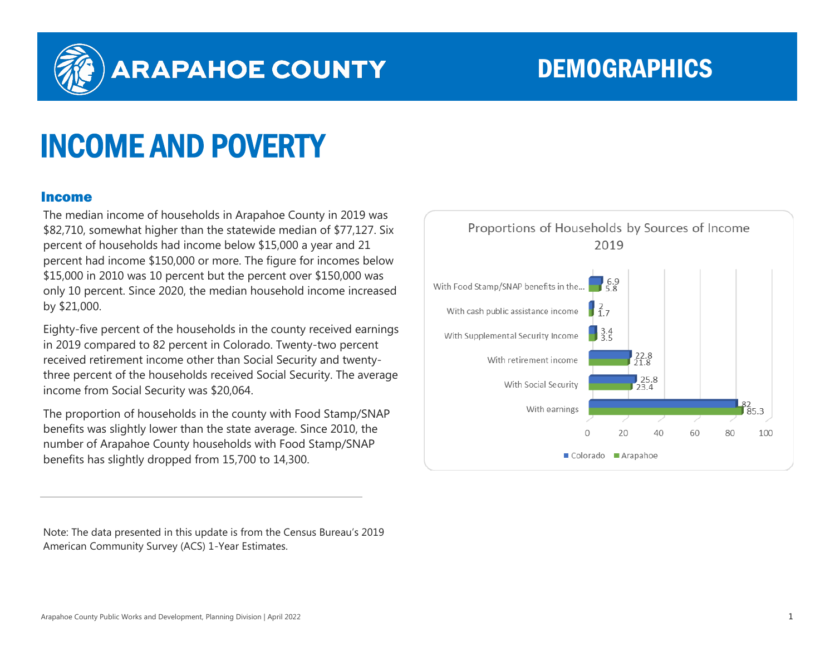

## ARAPAHOE COUNTY DEMOGRAPHICS

# INCOME AND POVERTY

#### Income

The median income of households in Arapahoe County in 2019 was \$82,710, somewhat higher than the statewide median of \$77,127. Six percent of households had income below \$15,000 a year and 21 percent had income \$150,000 or more. The figure for incomes below \$15,000 in 2010 was 10 percent but the percent over \$150,000 was only 10 percent. Since 2020, the median household income increased by \$21,000.

Eighty-five percent of the households in the county received earnings in 2019 compared to 82 percent in Colorado. Twenty-two percent received retirement income other than Social Security and twentythree percent of the households received Social Security. The average income from Social Security was \$20,064.

The proportion of households in the county with Food Stamp/SNAP benefits was slightly lower than the state average. Since 2010, the number of Arapahoe County households with Food Stamp/SNAP benefits has slightly dropped from 15,700 to 14,300.

Note: The data presented in this update is from the Census Bureau's 2019 American Community Survey (ACS) 1-Year Estimates.

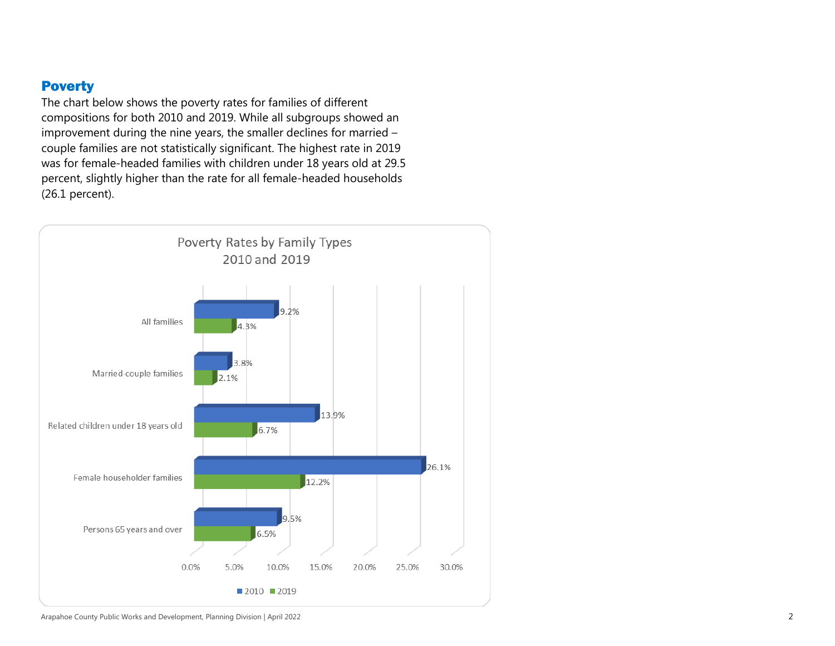### **Poverty**

The chart below shows the poverty rates for families of different compositions for both 2010 and 2019. While all subgroups showed an improvement during the nine years, the smaller declines for married – couple families are not statistically significant. The highest rate in 2019 was for female-headed families with children under 18 years old at 29.5 percent, slightly higher than the rate for all female-headed households (26.1 percent).

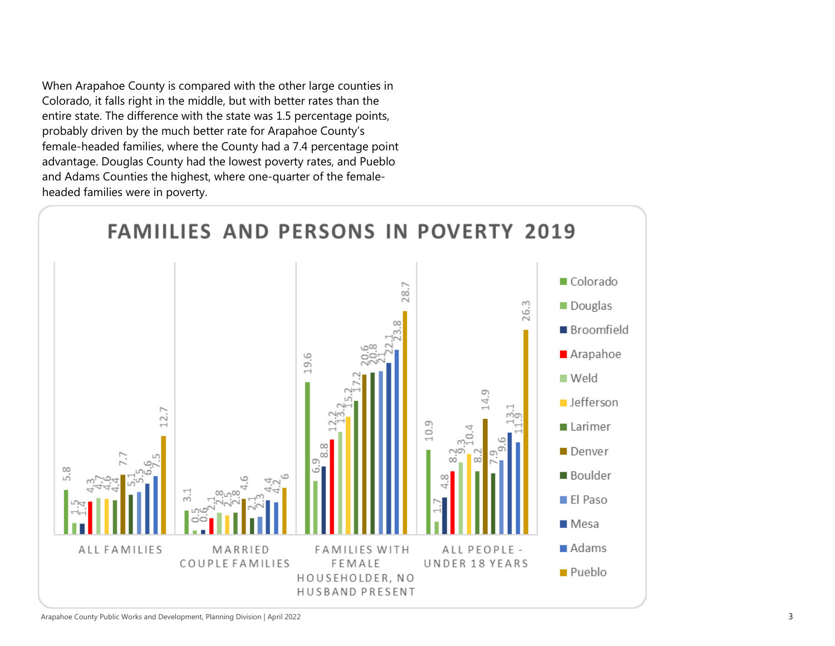When Arapahoe County is compared with the other large counties in Colorado, it falls right in the middle, but with better rates than the entire state. The difference with the state was 1.5 percentage points, probably driven by the much better rate for Arapahoe County's female-headed families, where the County had a 7.4 percentage point advantage. Douglas County had the lowest poverty rates, and Pueblo and Adams Counties the highest, where one-quarter of the femaleheaded families were in poverty.